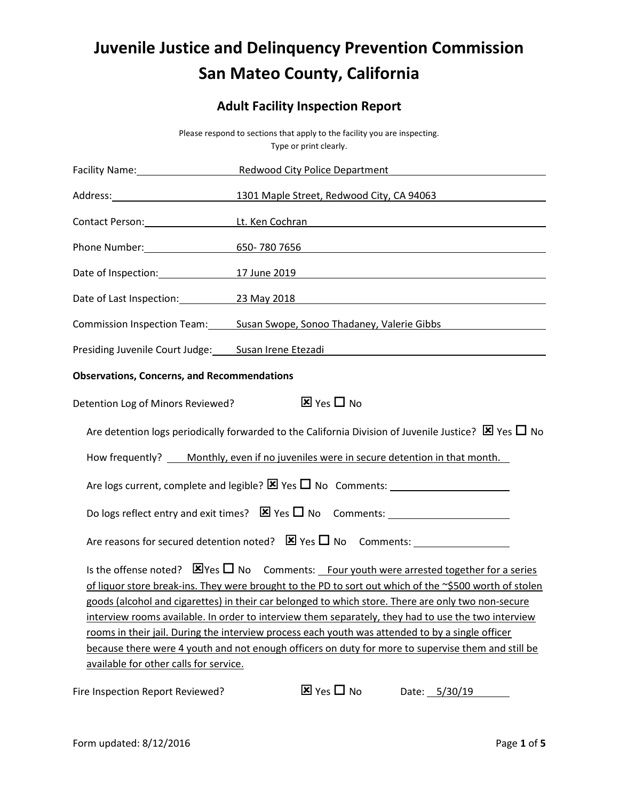## Juvenile Justice and Delinquency Prevention Commission San Mateo County, California

### Adult Facility Inspection Report

|                                                                                                                     | Please respond to sections that apply to the facility you are inspecting.<br>Type or print clearly.                                                                                                                                                                                                                                                                                                                                                                                                                                                                                                                                          |  |  |  |
|---------------------------------------------------------------------------------------------------------------------|----------------------------------------------------------------------------------------------------------------------------------------------------------------------------------------------------------------------------------------------------------------------------------------------------------------------------------------------------------------------------------------------------------------------------------------------------------------------------------------------------------------------------------------------------------------------------------------------------------------------------------------------|--|--|--|
|                                                                                                                     | Redwood City Police Department                                                                                                                                                                                                                                                                                                                                                                                                                                                                                                                                                                                                               |  |  |  |
|                                                                                                                     | 1301 Maple Street, Redwood City, CA 94063                                                                                                                                                                                                                                                                                                                                                                                                                                                                                                                                                                                                    |  |  |  |
|                                                                                                                     | Contact Person: Lt. Ken Cochran Communication Control Contact Person:                                                                                                                                                                                                                                                                                                                                                                                                                                                                                                                                                                        |  |  |  |
|                                                                                                                     | 650-7807656 and the contract of the contract of the contract of the contract of the contract of the contract of the contract of the contract of the contract of the contract of the contract of the contract of the contract o                                                                                                                                                                                                                                                                                                                                                                                                               |  |  |  |
|                                                                                                                     | 17 June 2019 <b>17 June 2019</b>                                                                                                                                                                                                                                                                                                                                                                                                                                                                                                                                                                                                             |  |  |  |
|                                                                                                                     | Date of Last Inspection: 23 May 2018                                                                                                                                                                                                                                                                                                                                                                                                                                                                                                                                                                                                         |  |  |  |
|                                                                                                                     | Commission Inspection Team: Susan Swope, Sonoo Thadaney, Valerie Gibbs [1986]                                                                                                                                                                                                                                                                                                                                                                                                                                                                                                                                                                |  |  |  |
|                                                                                                                     | Presiding Juvenile Court Judge: Susan Irene Etezadi Manuel Allen Manuel Allen Manuel Allen Manuel Allen Manuel                                                                                                                                                                                                                                                                                                                                                                                                                                                                                                                               |  |  |  |
| <b>Observations, Concerns, and Recommendations</b>                                                                  |                                                                                                                                                                                                                                                                                                                                                                                                                                                                                                                                                                                                                                              |  |  |  |
| $\overline{\mathbf{x}}$ Yes $\Box$ No<br>Detention Log of Minors Reviewed?                                          |                                                                                                                                                                                                                                                                                                                                                                                                                                                                                                                                                                                                                                              |  |  |  |
| Are detention logs periodically forwarded to the California Division of Juvenile Justice? $\boxtimes$ Yes $\Box$ No |                                                                                                                                                                                                                                                                                                                                                                                                                                                                                                                                                                                                                                              |  |  |  |
|                                                                                                                     | How frequently? ____ Monthly, even if no juveniles were in secure detention in that month.                                                                                                                                                                                                                                                                                                                                                                                                                                                                                                                                                   |  |  |  |
|                                                                                                                     | Are logs current, complete and legible? $\boxtimes$ Yes $\square$ No Comments:                                                                                                                                                                                                                                                                                                                                                                                                                                                                                                                                                               |  |  |  |
|                                                                                                                     |                                                                                                                                                                                                                                                                                                                                                                                                                                                                                                                                                                                                                                              |  |  |  |
|                                                                                                                     |                                                                                                                                                                                                                                                                                                                                                                                                                                                                                                                                                                                                                                              |  |  |  |
| available for other calls for service.                                                                              | Is the offense noted? $\boxtimes$ Yes $\square$ No Comments: Four youth were arrested together for a series<br>of liquor store break-ins. They were brought to the PD to sort out which of the ~\$500 worth of stolen<br>goods (alcohol and cigarettes) in their car belonged to which store. There are only two non-secure<br>interview rooms available. In order to interview them separately, they had to use the two interview<br>rooms in their jail. During the interview process each youth was attended to by a single officer<br>because there were 4 youth and not enough officers on duty for more to supervise them and still be |  |  |  |
| Fire Inspection Report Reviewed?                                                                                    | $\overline{\mathbf{x}}$ Yes $\Box$ No<br>Date: 5/30/19                                                                                                                                                                                                                                                                                                                                                                                                                                                                                                                                                                                       |  |  |  |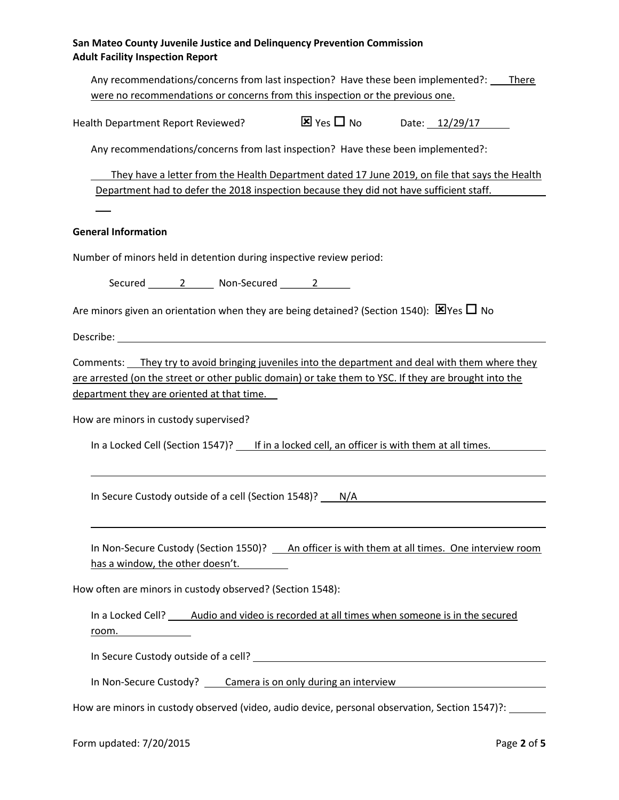| San Mateo County Juvenile Justice and Delinguency Prevention Commission |
|-------------------------------------------------------------------------|
| <b>Adult Facility Inspection Report</b>                                 |

| Any recommendations/concerns from last inspection? Have these been implemented?: |                                       |                | <b>There</b> |
|----------------------------------------------------------------------------------|---------------------------------------|----------------|--------------|
| were no recommendations or concerns from this inspection or the previous one.    |                                       |                |              |
| Health Department Report Reviewed?                                               | $\overline{\mathbf{x}}$ Yes $\Box$ No | Date: 12/29/17 |              |

Any recommendations/concerns from last inspection? Have these been implemented?:

 They have a letter from the Health Department dated 17 June 2019, on file that says the Health Department had to defer the 2018 inspection because they did not have sufficient staff.

#### General Information

 $\overline{a}$ 

Number of minors held in detention during inspective review period:

Secured 2 Non-Secured 2

Are minors given an orientation when they are being detained? (Section 1540):  $\boxtimes$  Yes  $\Box$  No

Describe:

 $\overline{a}$ 

Comments: They try to avoid bringing juveniles into the department and deal with them where they are arrested (on the street or other public domain) or take them to YSC. If they are brought into the department they are oriented at that time.

How are minors in custody supervised?

In a Locked Cell (Section 1547)? If in a locked cell, an officer is with them at all times.

In Secure Custody outside of a cell (Section 1548)? N/A

In Non-Secure Custody (Section 1550)? An officer is with them at all times. One interview room has a window, the other doesn't.

How often are minors in custody observed? (Section 1548):

In a Locked Cell? Audio and video is recorded at all times when someone is in the secured room.

In Secure Custody outside of a cell?

In Non-Secure Custody? Camera is on only during an interview

How are minors in custody observed (video, audio device, personal observation, Section 1547)?: \_\_\_\_\_\_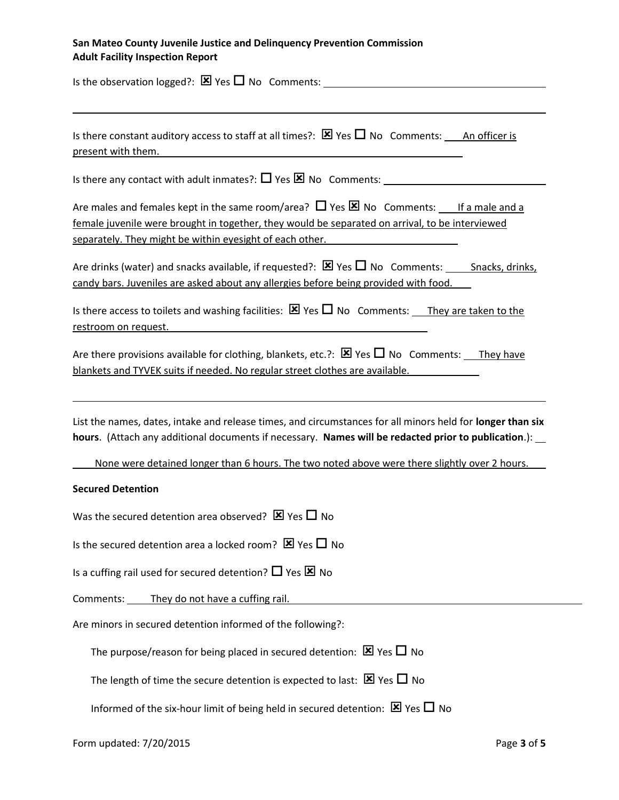# San Mateo County Juvenile Justice and Delinquency Prevention Commission

Adult Facility Inspection Report Is the observation logged?:  $\boxtimes$  Yes  $\Box$  No Comments:  $\overline{a}$ Is there constant auditory access to staff at all times?:  $\boxtimes$  Yes  $\Box$  No Comments: An officer is present with them. Is there any contact with adult inmates?:  $\Box$  Yes  $\boxtimes$  No Comments: Are males and females kept in the same room/area?  $\Box$  Yes  $\boxtimes$  No Comments: If a male and a female juvenile were brought in together, they would be separated on arrival, to be interviewed separately. They might be within eyesight of each other. Are drinks (water) and snacks available, if requested?:  $\boxtimes$  Yes  $\Box$  No Comments: Snacks, drinks, candy bars. Juveniles are asked about any allergies before being provided with food. Is there access to toilets and washing facilities:  $\boxtimes$  Yes  $\Box$  No Comments: They are taken to the restroom on request. Are there provisions available for clothing, blankets, etc.?:  $\boxtimes$  Yes  $\Box$  No Comments: They have blankets and TYVEK suits if needed. No regular street clothes are available.  $\overline{a}$ List the names, dates, intake and release times, and circumstances for all minors held for longer than six hours. (Attach any additional documents if necessary. Names will be redacted prior to publication.):

None were detained longer than 6 hours. The two noted above were there slightly over 2 hours.

#### Secured Detention

Was the secured detention area observed?  $\boxtimes$  Yes  $\Box$  No

Is the secured detention area a locked room?  $\times$  Yes  $\Box$  No

Is a cuffing rail used for secured detention?  $\Box$  Yes  $\boxtimes$  No

Comments: They do not have a cuffing rail.

Are minors in secured detention informed of the following?:

The purpose/reason for being placed in secured detention:  $\boxtimes$  Yes  $\Box$  No

The length of time the secure detention is expected to last:  $\boxtimes$  Yes  $\Box$  No

Informed of the six-hour limit of being held in secured detention:  $\boxtimes$  Yes  $\Box$  No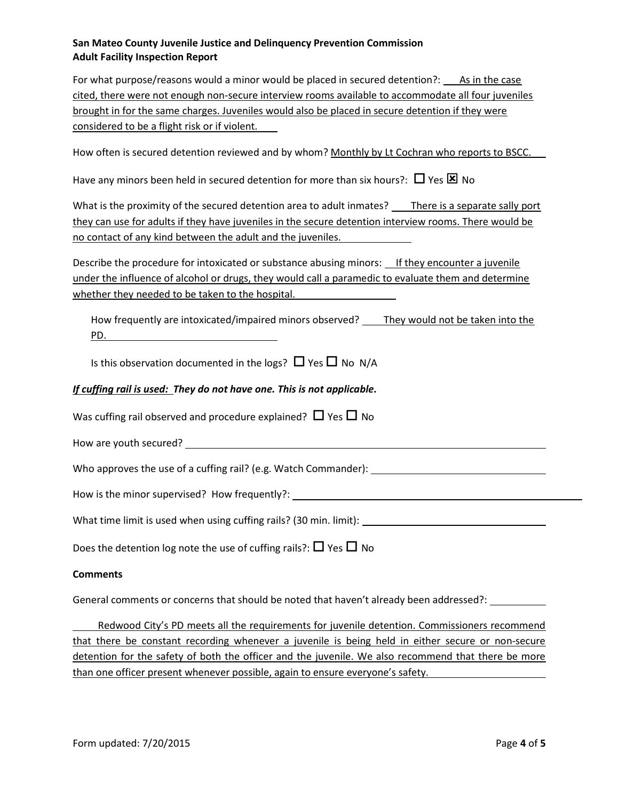#### San Mateo County Juvenile Justice and Delinquency Prevention Commission Adult Facility Inspection Report

For what purpose/reasons would a minor would be placed in secured detention?: As in the case cited, there were not enough non-secure interview rooms available to accommodate all four juveniles brought in for the same charges. Juveniles would also be placed in secure detention if they were considered to be a flight risk or if violent.

How often is secured detention reviewed and by whom? Monthly by Lt Cochran who reports to BSCC.

Have any minors been held in secured detention for more than six hours?:  $\Box$  Yes  $\boxtimes$  No

What is the proximity of the secured detention area to adult inmates? There is a separate sally port they can use for adults if they have juveniles in the secure detention interview rooms. There would be no contact of any kind between the adult and the juveniles.

Describe the procedure for intoxicated or substance abusing minors: If they encounter a juvenile under the influence of alcohol or drugs, they would call a paramedic to evaluate them and determine whether they needed to be taken to the hospital.

How frequently are intoxicated/impaired minors observed? \_\_\_\_ They would not be taken into the PD.

Is this observation documented in the logs?  $\Box$  Yes  $\Box$  No N/A

#### If cuffing rail is used: They do not have one. This is not applicable.

Was cuffing rail observed and procedure explained?  $\Box$  Yes  $\Box$  No

How are youth secured?

Who approves the use of a cuffing rail? (e.g. Watch Commander): \_\_\_\_\_\_\_\_\_\_\_\_\_\_\_\_

How is the minor supervised? How frequently?:

What time limit is used when using cuffing rails? (30 min. limit):

Does the detention log note the use of cuffing rails?:  $\Box$  Yes  $\Box$  No

#### **Comments**

General comments or concerns that should be noted that haven't already been addressed?:

 Redwood City's PD meets all the requirements for juvenile detention. Commissioners recommend that there be constant recording whenever a juvenile is being held in either secure or non-secure detention for the safety of both the officer and the juvenile. We also recommend that there be more than one officer present whenever possible, again to ensure everyone's safety.